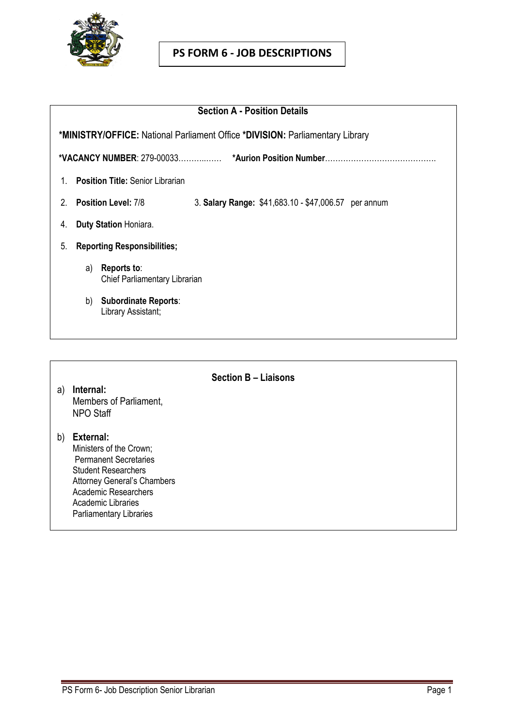

## **PS FORM 6 - JOB DESCRIPTIONS**

| <b>Section A - Position Details</b>                                                     |  |  |  |  |  |  |
|-----------------------------------------------------------------------------------------|--|--|--|--|--|--|
| *MINISTRY/OFFICE: National Parliament Office *DIVISION: Parliamentary Library           |  |  |  |  |  |  |
|                                                                                         |  |  |  |  |  |  |
| <b>Position Title: Senior Librarian</b><br>1                                            |  |  |  |  |  |  |
| <b>Position Level: 7/8</b><br>2<br>3. Salary Range: \$41,683.10 - \$47,006.57 per annum |  |  |  |  |  |  |
| Duty Station Honiara.<br>4.                                                             |  |  |  |  |  |  |
| 5.<br><b>Reporting Responsibilities;</b>                                                |  |  |  |  |  |  |
| Reports to:<br>a)<br>Chief Parliamentary Librarian                                      |  |  |  |  |  |  |
| <b>Subordinate Reports:</b><br>b)<br>Library Assistant;                                 |  |  |  |  |  |  |

**Section B – Liaisons**

- a) **Internal:** Members of Parliament, NPO Staff
- b) **External:**  Ministers of the Crown; Permanent Secretaries Student Researchers Attorney General's Chambers Academic Researchers Academic Libraries Parliamentary Libraries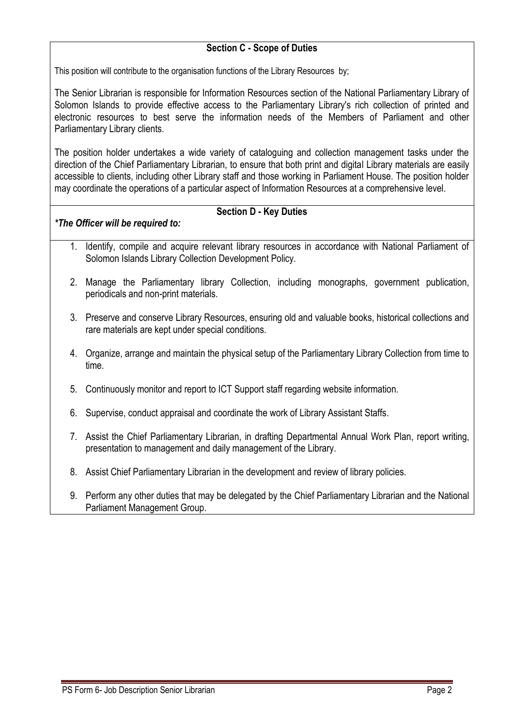## **Section C - Scope of Duties**

This position will contribute to the organisation functions of the Library Resources by;

The Senior Librarian is responsible for Information Resources section of the National Parliamentary Library of Solomon Islands to provide effective access to the Parliamentary Library's rich collection of printed and electronic resources to best serve the information needs of the Members of Parliament and other Parliamentary Library clients.

The position holder undertakes a wide variety of cataloguing and collection management tasks under the direction of the Chief Parliamentary Librarian, to ensure that both print and digital Library materials are easily accessible to clients, including other Library staff and those working in Parliament House. The position holder may coordinate the operations of a particular aspect of Information Resources at a comprehensive level.

## **Section D - Key Duties**

## *\*The Officer will be required to:*

- 1. Identify, compile and acquire relevant library resources in accordance with National Parliament of Solomon Islands Library Collection Development Policy.
- 2. Manage the Parliamentary library Collection, including monographs, government publication, periodicals and non-print materials.
- 3. Preserve and conserve Library Resources, ensuring old and valuable books, historical collections and rare materials are kept under special conditions.
- 4. Organize, arrange and maintain the physical setup of the Parliamentary Library Collection from time to time.
- 5. Continuously monitor and report to ICT Support staff regarding website information.
- 6. Supervise, conduct appraisal and coordinate the work of Library Assistant Staffs.
- 7. Assist the Chief Parliamentary Librarian, in drafting Departmental Annual Work Plan, report writing, presentation to management and daily management of the Library.
- 8. Assist Chief Parliamentary Librarian in the development and review of library policies.
- 9. Perform any other duties that may be delegated by the Chief Parliamentary Librarian and the National Parliament Management Group.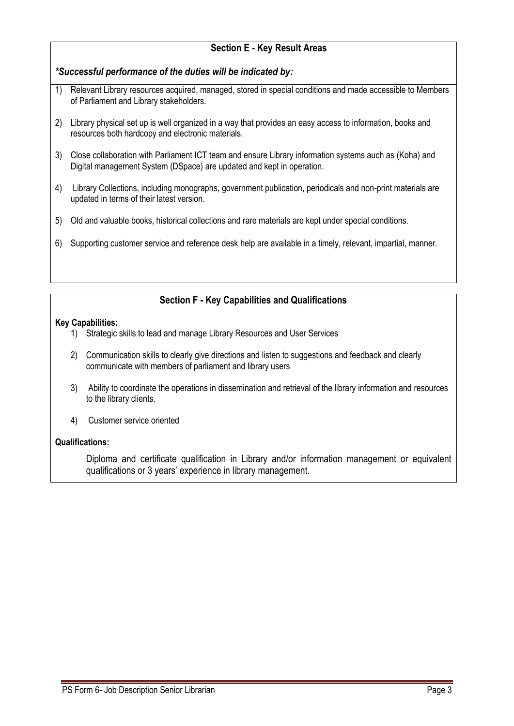## **Section E - Key Result Areas**

*\*Successful performance of the duties will be indicated by:*

- 1) Relevant Library resources acquired, managed, stored in special conditions and made accessible to Members of Parliament and Library stakeholders.
- 2) Library physical set up is well organized in a way that provides an easy access to information, books and resources both hardcopy and electronic materials.
- 3) Close collaboration with Parliament ICT team and ensure Library information systems auch as (Koha) and Digital management System (DSpace) are updated and kept in operation.
- 4) Library Collections, including monographs, government publication, periodicals and non-print materials are updated in terms of their latest version.
- 5) Old and valuable books, historical collections and rare materials are kept under special conditions.
- 6) Supporting customer service and reference desk help are available in a timely, relevant, impartial, manner.

# **Section F - Key Capabilities and Qualifications**

#### **Key Capabilities:**

- 1) Strategic skills to lead and manage Library Resources and User Services
- 2) Communication skills to clearly give directions and listen to suggestions and feedback and clearly communicate with members of parliament and library users
- 3) Ability to coordinate the operations in dissemination and retrieval of the library information and resources to the library clients.
- 4) Customer service oriented

#### **Qualifications:**

Diploma and certificate qualification in Library and/or information management or equivalent qualifications or 3 years' experience in library management.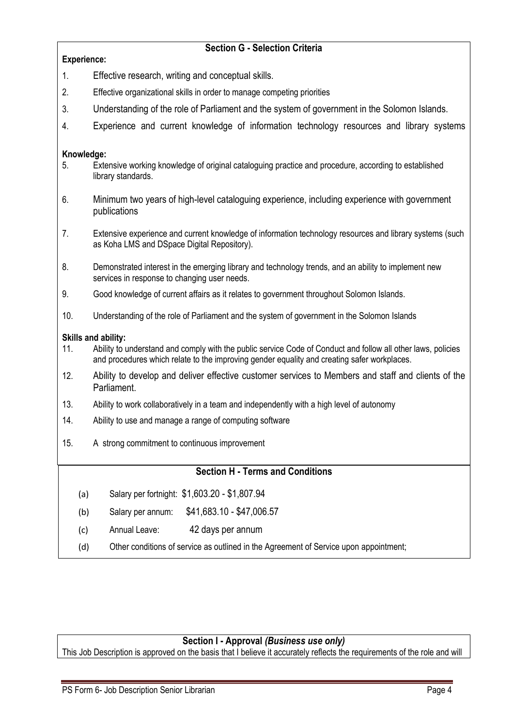## **Section G - Selection Criteria**

#### **Experience:**

- 1. Effective research, writing and conceptual skills.
- 2. Effective organizational skills in order to manage competing priorities
- 3. Understanding of the role of Parliament and the system of government in the Solomon Islands.
- 4. Experience and current knowledge of information technology resources and library systems

#### **Knowledge:**

- 5. Extensive working knowledge of original cataloguing practice and procedure, according to established library standards.
- 6. Minimum two years of high-level cataloguing experience, including experience with government publications
- 7. Extensive experience and current knowledge of information technology resources and library systems (such as Koha LMS and DSpace Digital Repository).
- 8. Demonstrated interest in the emerging library and technology trends, and an ability to implement new services in response to changing user needs.
- 9. Good knowledge of current affairs as it relates to government throughout Solomon Islands.
- 10. Understanding of the role of Parliament and the system of government in the Solomon Islands

#### **Skills and ability:**

- 11. Ability to understand and comply with the public service Code of Conduct and follow all other laws, policies and procedures which relate to the improving gender equality and creating safer workplaces.
- 12. Ability to develop and deliver effective customer services to Members and staff and clients of the Parliament.
- 13. Ability to work collaboratively in a team and independently with a high level of autonomy
- 14. Ability to use and manage a range of computing software
- 15. A strong commitment to continuous improvement

## **Section H - Terms and Conditions**

- (a) Salary per fortnight: \$1,603.20 \$1,807.94
- (b) Salary per annum: \$41,683.10 \$47,006.57
- (c) Annual Leave: 42 days per annum
- (d) Other conditions of service as outlined in the Agreement of Service upon appointment;

## **Section I - Approval** *(Business use only)*

This Job Description is approved on the basis that I believe it accurately reflects the requirements of the role and will